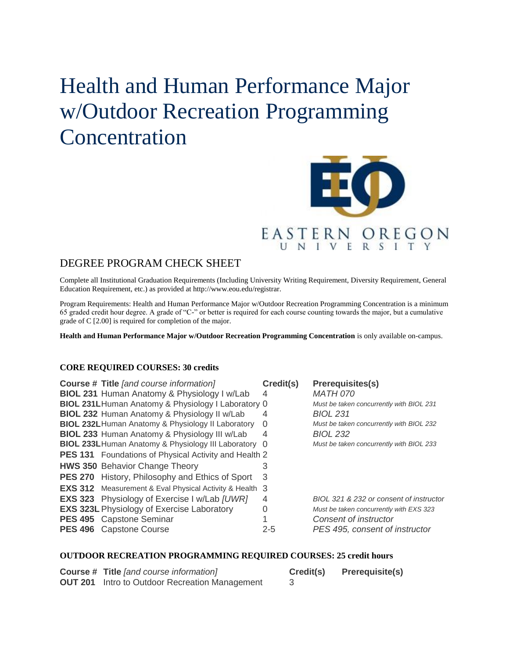# Health and Human Performance Major w/Outdoor Recreation Programming **Concentration**



## DEGREE PROGRAM CHECK SHEET

Complete all Institutional Graduation Requirements (Including University Writing Requirement, Diversity Requirement, General Education Requirement, etc.) as provided at http://www.eou.edu/registrar.

Program Requirements: Health and Human Performance Major w/Outdoor Recreation Programming Concentration is a minimum 65 graded credit hour degree. A grade of "C-" or better is required for each course counting towards the major, but a cumulative grade of C [2.00] is required for completion of the major.

**Health and Human Performance Major w/Outdoor Recreation Programming Concentration** is only available on-campus.

#### **CORE REQUIRED COURSES: 30 credits**

| <b>Course # Title [and course information]</b>                 | Credit(s) | <b>Prerequisites(s)</b>                  |
|----------------------------------------------------------------|-----------|------------------------------------------|
| <b>BIOL 231 Human Anatomy &amp; Physiology I w/Lab</b>         | 4         | <b>MATH 070</b>                          |
| BIOL 231LHuman Anatomy & Physiology I Laboratory 0             |           | Must be taken concurrently with BIOL 231 |
| <b>BIOL 232 Human Anatomy &amp; Physiology II w/Lab</b>        | 4         | <b>BIOL 231</b>                          |
| <b>BIOL 232L Human Anatomy &amp; Physiology II Laboratory</b>  | 0         | Must be taken concurrently with BIOL 232 |
| <b>BIOL 233 Human Anatomy &amp; Physiology III w/Lab</b>       | 4         | <b>BIOL 232</b>                          |
| BIOL 233L Human Anatomy & Physiology III Laboratory 0          |           | Must be taken concurrently with BIOL 233 |
| <b>PES 131</b> Foundations of Physical Activity and Health 2   |           |                                          |
| <b>HWS 350 Behavior Change Theory</b>                          |           |                                          |
| <b>PES 270</b> History, Philosophy and Ethics of Sport         | 3         |                                          |
| <b>EXS 312</b> Measurement & Eval Physical Activity & Health 3 |           |                                          |
| <b>EXS 323</b> Physiology of Exercise I w/Lab [UWR]            | 4         | BIOL 321 & 232 or consent of instructor  |
| <b>EXS 323L Physiology of Exercise Laboratory</b>              | $\Omega$  | Must be taken concurrently with EXS 323  |
| PES 495 Capstone Seminar                                       |           | Consent of instructor                    |
| <b>PES 496</b> Capstone Course                                 | $2 - 5$   | PES 495, consent of instructor           |

#### **OUTDOOR RECREATION PROGRAMMING REQUIRED COURSES: 25 credit hours**

| <b>Course # Title [and course information]</b>        | Credit(s) | <b>Prerequisite(s)</b> |
|-------------------------------------------------------|-----------|------------------------|
| <b>OUT 201</b> Intro to Outdoor Recreation Management |           |                        |